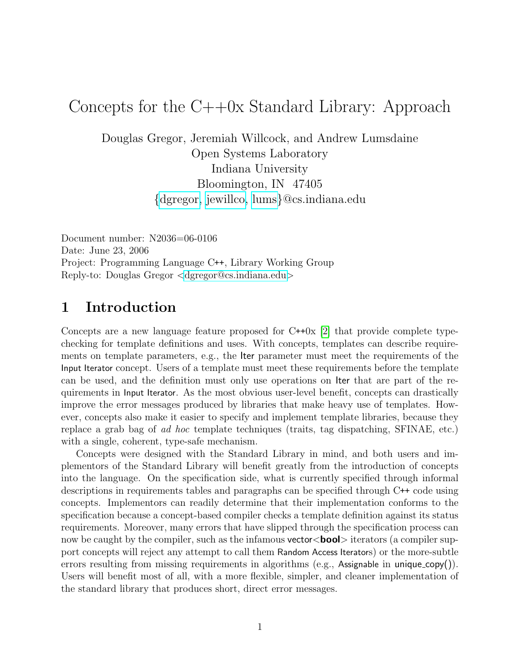# Concepts for the  $C++0x$  Standard Library: Approach

Douglas Gregor, Jeremiah Willcock, and Andrew Lumsdaine Open Systems Laboratory Indiana University Bloomington, IN 47405 {[dgregor,](mailto:dgregor@cs.indiana.edu) [jewillco,](mailto:jewillco@cs.indiana.edu) [lums](mailto:lums@cs.indiana.edu)}@cs.indiana.edu

Document number: N2036=06-0106 Date: June 23, 2006 Project: Programming Language C++, Library Working Group Reply-to: Douglas Gregor <[dgregor@cs.indiana.edu](mailto:dgregor@cs.indiana.edu)>

## 1 Introduction

Concepts are a new language feature proposed for  $C++0x$  [\[2\]](#page-5-0) that provide complete typechecking for template definitions and uses. With concepts, templates can describe requirements on template parameters, e.g., the Iter parameter must meet the requirements of the Input Iterator concept. Users of a template must meet these requirements before the template can be used, and the definition must only use operations on Iter that are part of the requirements in Input Iterator. As the most obvious user-level benefit, concepts can drastically improve the error messages produced by libraries that make heavy use of templates. However, concepts also make it easier to specify and implement template libraries, because they replace a grab bag of ad hoc template techniques (traits, tag dispatching, SFINAE, etc.) with a single, coherent, type-safe mechanism.

Concepts were designed with the Standard Library in mind, and both users and implementors of the Standard Library will benefit greatly from the introduction of concepts into the language. On the specification side, what is currently specified through informal descriptions in requirements tables and paragraphs can be specified through C++ code using concepts. Implementors can readily determine that their implementation conforms to the specification because a concept-based compiler checks a template definition against its status requirements. Moreover, many errors that have slipped through the specification process can now be caught by the compiler, such as the infamous **vector** $\langle \text{bool} \rangle$  iterators (a compiler support concepts will reject any attempt to call them Random Access Iterators) or the more-subtle errors resulting from missing requirements in algorithms (e.g., Assignable in unique\_copy()). Users will benefit most of all, with a more flexible, simpler, and cleaner implementation of the standard library that produces short, direct error messages.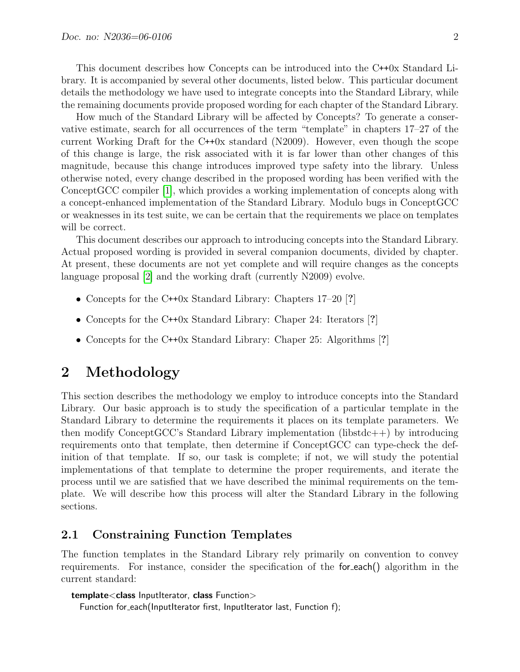This document describes how Concepts can be introduced into the C++0x Standard Library. It is accompanied by several other documents, listed below. This particular document details the methodology we have used to integrate concepts into the Standard Library, while the remaining documents provide proposed wording for each chapter of the Standard Library.

How much of the Standard Library will be affected by Concepts? To generate a conservative estimate, search for all occurrences of the term "template" in chapters 17–27 of the current Working Draft for the C++0x standard (N2009). However, even though the scope of this change is large, the risk associated with it is far lower than other changes of this magnitude, because this change introduces improved type safety into the library. Unless otherwise noted, every change described in the proposed wording has been verified with the ConceptGCC compiler [\[1\]](#page-5-1), which provides a working implementation of concepts along with a concept-enhanced implementation of the Standard Library. Modulo bugs in ConceptGCC or weaknesses in its test suite, we can be certain that the requirements we place on templates will be correct.

This document describes our approach to introducing concepts into the Standard Library. Actual proposed wording is provided in several companion documents, divided by chapter. At present, these documents are not yet complete and will require changes as the concepts language proposal [\[2\]](#page-5-0) and the working draft (currently N2009) evolve.

- Concepts for the C++0x Standard Library: Chapters 17–20 [?]
- Concepts for the C++0x Standard Library: Chaper 24: Iterators [?]
- Concepts for the C++0x Standard Library: Chaper 25: Algorithms [?]

### 2 Methodology

This section describes the methodology we employ to introduce concepts into the Standard Library. Our basic approach is to study the specification of a particular template in the Standard Library to determine the requirements it places on its template parameters. We then modify ConceptGCC's Standard Library implementation (libstdc++) by introducing requirements onto that template, then determine if ConceptGCC can type-check the definition of that template. If so, our task is complete; if not, we will study the potential implementations of that template to determine the proper requirements, and iterate the process until we are satisfied that we have described the minimal requirements on the template. We will describe how this process will alter the Standard Library in the following sections.

### 2.1 Constraining Function Templates

The function templates in the Standard Library rely primarily on convention to convey requirements. For instance, consider the specification of the for each() algorithm in the current standard:

```
template<class InputIterator, class Function>
```
Function for\_each(InputIterator first, InputIterator last, Function f);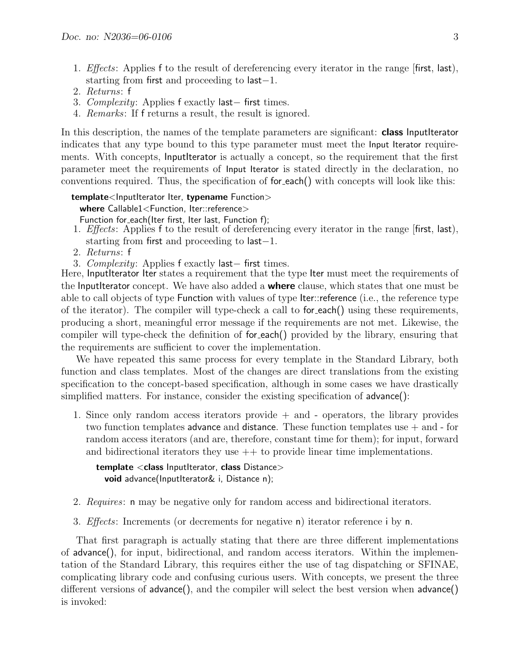- 1. *Effects*: Applies f to the result of dereferencing every iterator in the range first, last), starting from first and proceeding to last−1.
- 2. Returns: f
- 3. Complexity: Applies f exactly last– first times.
- 4. Remarks: If f returns a result, the result is ignored.

In this description, the names of the template parameters are significant: **class InputIterator** indicates that any type bound to this type parameter must meet the Input Iterator requirements. With concepts, InputIterator is actually a concept, so the requirement that the first parameter meet the requirements of Input Iterator is stated directly in the declaration, no conventions required. Thus, the specification of for each() with concepts will look like this:

#### template<InputIterator Iter, typename Function>

where Callable1<Function, Iter::reference>

- Function for\_each(Iter first, Iter last, Function f);
- 1. *Effects*: Applies f to the result of dereferencing every iterator in the range first, last), starting from first and proceeding to last−1.
- 2. Returns: f
- 3. Complexity: Applies f exactly last– first times.

Here, InputIterator Iter states a requirement that the type Iter must meet the requirements of the InputIterator concept. We have also added a **where** clause, which states that one must be able to call objects of type Function with values of type Iter::reference (i.e., the reference type of the iterator). The compiler will type-check a call to for each() using these requirements, producing a short, meaningful error message if the requirements are not met. Likewise, the compiler will type-check the definition of for each() provided by the library, ensuring that the requirements are sufficient to cover the implementation.

We have repeated this same process for every template in the Standard Library, both function and class templates. Most of the changes are direct translations from the existing specification to the concept-based specification, although in some cases we have drastically simplified matters. For instance, consider the existing specification of advance():

1. Since only random access iterators provide + and - operators, the library provides two function templates advance and distance. These function templates use + and - for random access iterators (and are, therefore, constant time for them); for input, forward and bidirectional iterators they use  $++$  to provide linear time implementations.

template <class InputIterator, class Distance> void advance(InputIterator& i, Distance n);

- 2. Requires: n may be negative only for random access and bidirectional iterators.
- 3. Effects: Increments (or decrements for negative n) iterator reference i by n.

That first paragraph is actually stating that there are three different implementations of advance(), for input, bidirectional, and random access iterators. Within the implementation of the Standard Library, this requires either the use of tag dispatching or SFINAE, complicating library code and confusing curious users. With concepts, we present the three different versions of advance(), and the compiler will select the best version when advance() is invoked: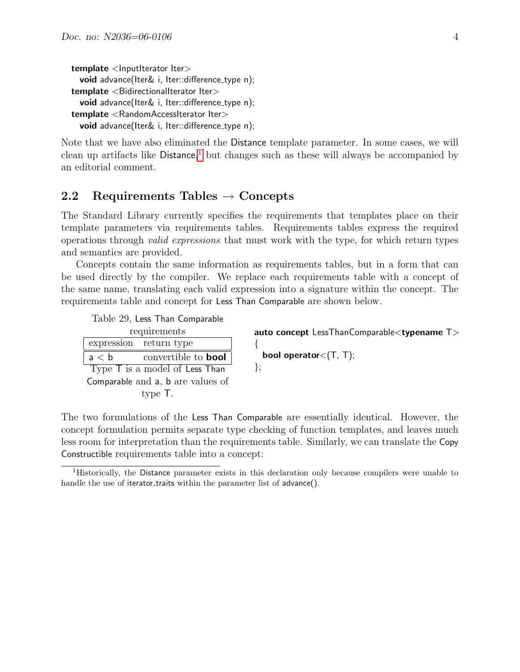```
template <lnputIterator Iter>
  void advance(Iter& i, Iter::difference_type n);
template <BidirectionalIterator Iter>void advance(Iter& i, Iter::difference_type n);
template <RandomAccessIterator Iter>
  void advance(Iter& i, Iter::difference_type n);
```
Note that we have also eliminated the Distance template parameter. In some cases, we will clean up artifacts like Distance, [1](#page-3-0) but changes such as these will always be accompanied by an editorial comment.

### 2.2 Requirements Tables  $\rightarrow$  Concepts

The Standard Library currently specifies the requirements that templates place on their template parameters via requirements tables. Requirements tables express the required operations through valid expressions that must work with the type, for which return types and semantics are provided.

Concepts contain the same information as requirements tables, but in a form that can be used directly by the compiler. We replace each requirements table with a concept of the same name, translating each valid expression into a signature within the concept. The requirements table and concept for Less Than Comparable are shown below.

{

Table 29, Less Than Comparable

| requirements                                   |  |  |
|------------------------------------------------|--|--|
| expression return type                         |  |  |
| a < b<br>convertible to <b>bool</b>            |  |  |
| $T$ <sub>Vpe</sub> $T$ is a model of Less Than |  |  |
| Comparable and a, b are values of              |  |  |
| type T.                                        |  |  |

auto concept LessThanComparable<typename T>

bool operator<(T, T); };

The two formulations of the Less Than Comparable are essentially identical. However, the concept formulation permits separate type checking of function templates, and leaves much less room for interpretation than the requirements table. Similarly, we can translate the Copy Constructible requirements table into a concept:

<span id="page-3-0"></span><sup>1</sup>Historically, the Distance parameter exists in this declaration only because compilers were unable to handle the use of iterator\_traits within the parameter list of advance().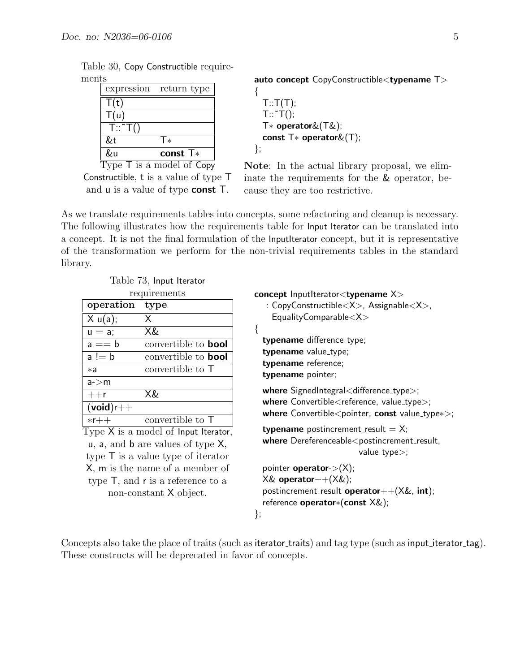| 21 U.O            |                                                |
|-------------------|------------------------------------------------|
|                   | expression return type                         |
| T(t)              |                                                |
| T(u)              |                                                |
| $T::\tilde{} T()$ |                                                |
| &t                | T∗                                             |
| &u                | const $T*$                                     |
|                   | ype $\overline{\mathsf{I}}$ is a model of Copy |

Table 30, Copy Constructible requirements

auto concept CopyConstructible<typename T>

```
{
  T: T(T);T::\tilde{} T();
  T∗ operator&(T&);
  const T∗ operator&(T);
};
```
Constructible, t is a value of type T and u is a value of type const T.

Note: In the actual library proposal, we eliminate the requirements for the & operator, because they are too restrictive.

As we translate requirements tables into concepts, some refactoring and cleanup is necessary. The following illustrates how the requirements table for Input Iterator can be translated into a concept. It is not the final formulation of the InputIterator concept, but it is representative of the transformation we perform for the non-trivial requirements tables in the standard library.

{

Table 73, Input Iterator requirements

| requirements |                            |  |
|--------------|----------------------------|--|
| operation    | type                       |  |
| X u(a);      | Χ                          |  |
| $u = a$ ;    | X&                         |  |
| $a == b$     | convertible to <b>bool</b> |  |
| $a != b$     | convertible to <b>bool</b> |  |
| *а           | convertible to T           |  |
| a > m        |                            |  |
| $++r$        | X&                         |  |
| $(void)$ r++ |                            |  |
| $*r++$       | convertible to T           |  |

Type X is a model of Input Iterator, u, a, and b are values of type X, type T is a value type of iterator X, m is the name of a member of type T, and r is a reference to a non-constant X object.

concept InputIterator<typename X> : CopyConstructible $\langle X \rangle$ , Assignable $\langle X \rangle$ ,  $Equality Comparable < X>$ 

typename difference\_type; typename value\_type; typename reference; typename pointer;

where SignedIntegral<difference\_type>; where  $Convertible <$ reference, value\_type $>$ ; where Convertible<pointer, const value\_type∗>;

**typename** postincrement\_result =  $X$ ;  $where$  Dereferenceable $<$ postincrement\_result, value\_type $>$ ;

pointer **operator**- $>(X)$ ;  $X&$  operator $++(X&)$ ; postincrement\_result **operator** $++(X&$ , int); reference operator∗(const X&);

};

Concepts also take the place of traits (such as iterator traits) and tag type (such as input iterator tag). These constructs will be deprecated in favor of concepts.